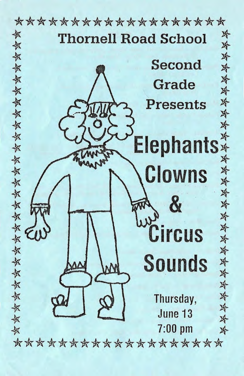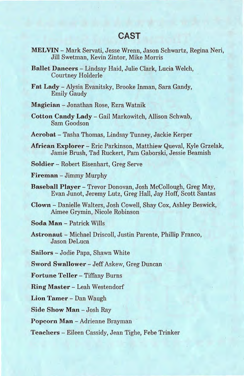## **CAST**

- MELVIN- Mark Servati, Jesse Wrenn, Jason Schwartz, Regina Neri, Jill Swetman, Kevin Zintor, Mike Morris
- Ballet Dancers- Lindsay Haid, Julie Clark, Lucia Welch, Courtney Holderle
- Fat Lady Alysia Evanitsky, Brooke Inman, Sara Gandy, Emily Gaudy

Magician- Jonathan Rose, Ezra Watnik

- Cotton Candy Lady Gail Markowitch, Allison Schwab, Sam Goodson
- Acrobat- Tasha Thomas, Lindsay Tunney, Jackie Kerper
- Mrican Explorer Eric Parkinson, Matthiew Queval, Kyle Grzelak, Jamie Brush, Tad Ruckert, Pam Gaborski, Jessie Beamish
- Soldier Robert Eisenhart, Greg Serve
- Fireman- Jimmy Murphy
- Baseball Player- Trevor Donovan, Josh McCollough, Greg May, Evan Junot, Jeremy Lutz, Greg Hall, Jay Hoff, Scott Santas
- Clown- Danielle Walters, Josh Cowell, Shay Cox, Ashley Beswick, Aimee Grymin, Nicole Robinson
- Soda Man Patrick Wills
- Astronaut- Michael Driscoll, Justin Parente, Phillip Franco, Jason DeLuca
- Sailors Jodie Papa, Shawn White

Sword Swallower- Jeff Askew, Greg Duncan ·

Fortune Teller- Tiffany Burns

Ring Master- Leah Westendorf

Lion Tamer- Dan Waugh

Side Show Man - Josh Ray

Popcorn Man - Adrienne Brayman

Teachers- Eileen Cassidy, Jean Tighe, Febe Trinker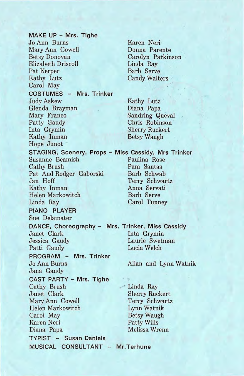**MAKE UP - Mrs. Tighe**  JoAnn Burns Mary Ann Cowell Betsy Donovan Elizabeth Driscoll Pat Kerper Kathy Lutz Carol May **COSTUMES - Mrs. Trinker**  Judy Askew Glenda Brayman Mary Franco Patty Gaudy Inta Grymin Kathy Inman Hope Junot **STAGING; Scenery, Props - Miss Cassidy, Mrs Trinker**  Susanne Beamish Paulina Rose Cathy Brush Pam Santas Pat And Rodger Gaborski Jan Hoff Terry Schwartz<br>Kathy Inman Mana Servati Kathy Inman Helen Markowitch Barb Serve Linda Ray Carol Tunney **PIANO PLAYER**  Sue Delamater **DANCE, Choreography** - **Mrs. Trinker, Miss Cassidy**  Janet Clark Jessica Gaudy Patti Gaudy **PROGRAM - Mrs. Trinker**  JoAnn Burns Jana Gandy **CAST PARTY- Mrs. Tighe**  Cathy Brush Janet Clark Mary Ann Cowell Helen Markowitch Carol May Karen Neri Diana Papa **TYPIST - Susan Daniels MUSICAL CONSULTANT** - **Mr.Terhune** 

Karen Neri Donna . Parente Carolyn Parkinson Linda Ray Barb Serve Candy Walters

Kathy Lutz Diana Papa Sandring Queval Chris Robinson Sherry Ruckert Betsy Waugh

Inta Grymin Laurie Swetman Lucia Welch

Allan and Lynn Watnik

Linda Ray Sherry Ruckert Terry Schwartz Lynn Watnik Betsy Waugh Patty Wills Melissa Wrenn